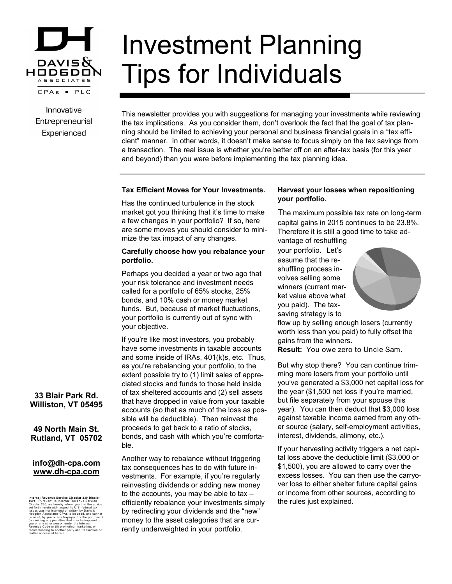

Innovative Entrepreneurial Experienced

# Investment Planning Tips for Individuals

This newsletter provides you with suggestions for managing your investments while reviewing the tax implications. As you consider them, don't overlook the fact that the goal of tax planning should be limited to achieving your personal and business financial goals in a "tax efficient" manner. In other words, it doesn't make sense to focus simply on the tax savings from a transaction. The real issue is whether you're better off on an after-tax basis (for this year and beyond) than you were before implementing the tax planning idea.

#### **Tax Efficient Moves for Your Investments.**

Has the continued turbulence in the stock market got you thinking that it's time to make a few changes in your portfolio? If so, here are some moves you should consider to minimize the tax impact of any changes.

### **Carefully choose how you rebalance your portfolio.**

Perhaps you decided a year or two ago that your risk tolerance and investment needs called for a portfolio of 65% stocks, 25% bonds, and 10% cash or money market funds. But, because of market fluctuations, your portfolio is currently out of sync with your objective.

If you're like most investors, you probably have some investments in taxable accounts and some inside of IRAs, 401(k)s, etc. Thus, as you're rebalancing your portfolio, to the extent possible try to (1) limit sales of appreciated stocks and funds to those held inside of tax sheltered accounts and (2) sell assets that have dropped in value from your taxable accounts (so that as much of the loss as possible will be deductible). Then reinvest the proceeds to get back to a ratio of stocks, bonds, and cash with which you're comfortable.

Another way to rebalance without triggering tax consequences has to do with future investments. For example, if you're regularly reinvesting dividends or adding new money to the accounts, you may be able to tax – efficiently rebalance your investments simply by redirecting your dividends and the "new" money to the asset categories that are currently underweighted in your portfolio.

## **Harvest your losses when repositioning your portfolio.**

The maximum possible tax rate on long-term capital gains in 2015 continues to be 23.8%. Therefore it is still a good time to take advantage of reshuffling

your portfolio. Let's assume that the reshuffling process involves selling some winners (current market value above what you paid). The taxsaving strategy is to



flow up by selling enough losers (currently worth less than you paid) to fully offset the gains from the winners.

**Result:** You owe zero to Uncle Sam.

But why stop there? You can continue trimming more losers from your portfolio until you've generated a \$3,000 net capital loss for the year (\$1,500 net loss if you're married, but file separately from your spouse this year). You can then deduct that \$3,000 loss against taxable income earned from any other source (salary, self-employment activities, interest, dividends, alimony, etc.).

If your harvesting activity triggers a net capital loss above the deductible limit (\$3,000 or \$1,500), you are allowed to carry over the excess losses. You can then use the carryover loss to either shelter future capital gains or income from other sources, according to the rules just explained.

# **33 Blair Park Rd. Williston, VT 05495**

**49 North Main St. Rutland, VT 05702**

## **info@dh-cpa.com www.dh-cpa.com**

Internal Revenue Service Circular 230 Disclo-<br>stare. Pursuant to Internal Revenue Service<br>stare. Pursuant to Internal Revenue Service<br>issues was not intended or written by Oavia &<br>issues was not intended or written by Oavi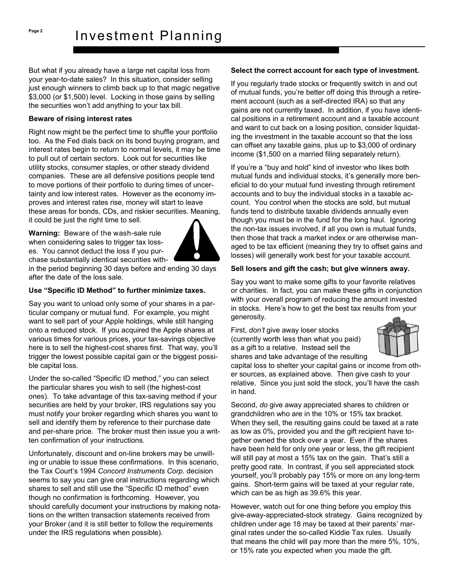But what if you already have a large net capital loss from your year-to-date sales? In this situation, consider selling just enough winners to climb back up to that magic negative \$3,000 (or \$1,500) level. Locking in those gains by selling the securities won't add anything to your tax bill.

#### **Beware of rising interest rates**

Right now might be the perfect time to shuffle your portfolio too. As the Fed dials back on its bond buying program, and interest rates begin to return to normal levels, it may be time to pull out of certain sectors. Look out for securities like utility stocks, consumer staples, or other steady dividend companies. These are all defensive positions people tend to move portions of their portfolio to during times of uncertainty and low interest rates. However as the economy improves and interest rates rise, money will start to leave these areas for bonds, CDs, and riskier securities. Meaning, it could be just the right time to sell.

**Warning:** Beware of the wash-sale rule when considering sales to trigger tax losses. You cannot deduct the loss if you purchase substantially identical securities with-



in the period beginning 30 days before and ending 30 days after the date of the loss sale.

## **Use "Specific ID Method" to further minimize taxes.**

Say you want to unload only some of your shares in a particular company or mutual fund. For example, you might want to sell part of your Apple holdings, while still hanging onto a reduced stock. If you acquired the Apple shares at various times for various prices, your tax-savings objective here is to sell the highest-cost shares first. That way, you'll trigger the lowest possible capital gain or the biggest possible capital loss.

Under the so-called "Specific ID method," you can select the particular shares you wish to sell (the highest-cost ones). To take advantage of this tax-saving method if your securities are held by your broker, IRS regulations say you must notify your broker regarding which shares you want to sell and identify them by reference to their purchase date and per-share price. The broker must then issue you a written confirmation of your instructions.

Unfortunately, discount and on-line brokers may be unwilling or unable to issue these confirmations. In this scenario, the Tax Court's 1994 *Concord Instruments Corp.* decision seems to say you can give oral instructions regarding which shares to sell and still use the "Specific ID method" even though no confirmation is forthcoming. However, you should carefully document your instructions by making notations on the written transaction statements received from your Broker (and it is still better to follow the requirements under the IRS regulations when possible).

### **Select the correct account for each type of investment.**

If you regularly trade stocks or frequently switch in and out of mutual funds, you're better off doing this through a retirement account (such as a self-directed IRA) so that any gains are not currently taxed. In addition, if you have identical positions in a retirement account and a taxable account and want to cut back on a losing position, consider liquidating the investment in the taxable account so that the loss can offset any taxable gains, plus up to \$3,000 of ordinary income (\$1,500 on a married filing separately return).

If you're a "buy and hold" kind of investor who likes both mutual funds and individual stocks, it's generally more beneficial to do your mutual fund investing through retirement accounts and to buy the individual stocks in a taxable account. You control when the stocks are sold, but mutual funds tend to distribute taxable dividends annually even though you must be in the fund for the long haul. Ignoring the non-tax issues involved, if all you own is mutual funds, then those that track a market index or are otherwise managed to be tax efficient (meaning they try to offset gains and losses) will generally work best for your taxable account.

#### **Sell losers and gift the cash; but give winners away.**

Say you want to make some gifts to your favorite relatives or charities. In fact, you can make these gifts in conjunction with your overall program of reducing the amount invested in stocks. Here's how to get the best tax results from your generosity.

First, *don't* give away loser stocks (currently worth less than what you paid) as a gift to a relative. Instead sell the shares and take advantage of the resulting



capital loss to shelter your capital gains or income from other sources, as explained above. Then give cash to your relative. Since you just sold the stock, you'll have the cash in hand.

Second, *do* give away appreciated shares to children or grandchildren who are in the 10% or 15% tax bracket. When they sell, the resulting gains could be taxed at a rate as low as 0%, provided you and the gift recipient have together owned the stock over a year. Even if the shares have been held for only one year or less, the gift recipient will still pay at most a 15% tax on the gain. That's still a pretty good rate. In contrast, if you sell appreciated stock yourself, you'll probably pay 15% or more on any long-term gains. Short-term gains will be taxed at your regular rate, which can be as high as 39.6% this year.

However, watch out for one thing before you employ this give-away-appreciated-stock strategy. Gains recognized by children under age 18 may be taxed at their parents' marginal rates under the so-called Kiddie Tax rules. Usually that means the child will pay more than the mere 5%, 10%, or 15% rate you expected when you made the gift.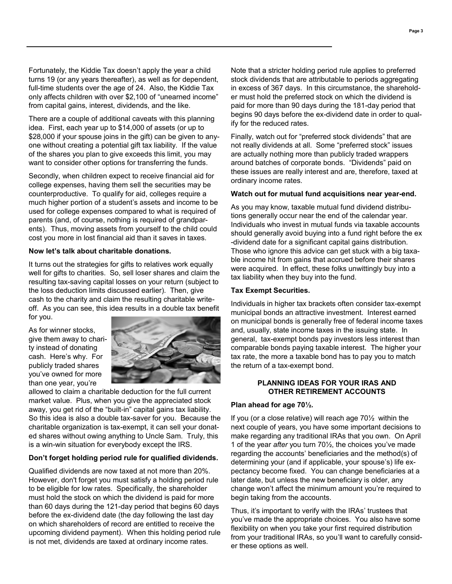Fortunately, the Kiddie Tax doesn't apply the year a child turns 19 (or any years thereafter), as well as for dependent, full-time students over the age of 24. Also, the Kiddie Tax only affects children with over \$2,100 of "unearned income" from capital gains, interest, dividends, and the like.

There are a couple of additional caveats with this planning idea. First, each year up to \$14,000 of assets (or up to \$28,000 if your spouse joins in the gift) can be given to anyone without creating a potential gift tax liability. If the value of the shares you plan to give exceeds this limit, you may want to consider other options for transferring the funds.

Secondly, when children expect to receive financial aid for college expenses, having them sell the securities may be counterproductive. To qualify for aid, colleges require a much higher portion of a student's assets and income to be used for college expenses compared to what is required of parents (and, of course, nothing is required of grandparents). Thus, moving assets from yourself to the child could cost you more in lost financial aid than it saves in taxes.

#### **Now let's talk about charitable donations.**

It turns out the strategies for gifts to relatives work equally well for gifts to charities. So, sell loser shares and claim the resulting tax-saving capital losses on your return (subject to the loss deduction limits discussed earlier). Then, give cash to the charity and claim the resulting charitable writeoff. As you can see, this idea results in a double tax benefit for you.

As for winner stocks, give them away to charity instead of donating cash. Here's why. For publicly traded shares you've owned for more than one year, you're



allowed to claim a charitable deduction for the full current market value. Plus, when you give the appreciated stock away, you get rid of the "built-in" capital gains tax liability. So this idea is also a double tax-saver for you. Because the charitable organization is tax-exempt, it can sell your donated shares without owing anything to Uncle Sam. Truly, this is a win-win situation for everybody except the IRS.

### **Don't forget holding period rule for qualified dividends.**

Qualified dividends are now taxed at not more than 20%. However, don't forget you must satisfy a holding period rule to be eligible for low rates. Specifically, the shareholder must hold the stock on which the dividend is paid for more than 60 days during the 121-day period that begins 60 days before the ex-dividend date (the day following the last day on which shareholders of record are entitled to receive the upcoming dividend payment). When this holding period rule is not met, dividends are taxed at ordinary income rates.

Note that a stricter holding period rule applies to preferred stock dividends that are attributable to periods aggregating in excess of 367 days. In this circumstance, the shareholder must hold the preferred stock on which the dividend is paid for more than 90 days during the 181-day period that begins 90 days before the ex-dividend date in order to qualify for the reduced rates.

Finally, watch out for "preferred stock dividends" that are not really dividends at all. Some "preferred stock" issues are actually nothing more than publicly traded wrappers around batches of corporate bonds. "Dividends" paid on these issues are really interest and are, therefore, taxed at ordinary income rates.

#### **Watch out for mutual fund acquisitions near year-end.**

As you may know, taxable mutual fund dividend distributions generally occur near the end of the calendar year. Individuals who invest in mutual funds via taxable accounts should generally avoid buying into a fund right before the ex -dividend date for a significant capital gains distribution. Those who ignore this advice can get stuck with a big taxable income hit from gains that accrued before their shares were acquired. In effect, these folks unwittingly buy into a tax liability when they buy into the fund.

#### **Tax Exempt Securities.**

Individuals in higher tax brackets often consider tax-exempt municipal bonds an attractive investment. Interest earned on municipal bonds is generally free of federal income taxes and, usually, state income taxes in the issuing state. In general, tax-exempt bonds pay investors less interest than comparable bonds paying taxable interest. The higher your tax rate, the more a taxable bond has to pay you to match the return of a tax-exempt bond.

### **PLANNING IDEAS FOR YOUR IRAS AND OTHER RETIREMENT ACCOUNTS**

### **Plan ahead for age 70½.**

If you (or a close relative) will reach age 70½ within the next couple of years, you have some important decisions to make regarding any traditional IRAs that you own. On April 1 of the year *after* you turn 70½, the choices you've made regarding the accounts' beneficiaries and the method(s) of determining your (and if applicable, your spouse's) life expectancy become fixed. You can change beneficiaries at a later date, but unless the new beneficiary is older, any change won't affect the minimum amount you're required to begin taking from the accounts.

Thus, it's important to verify with the IRAs' trustees that you've made the appropriate choices. You also have some flexibility on when you take your first required distribution from your traditional IRAs, so you'll want to carefully consider these options as well.